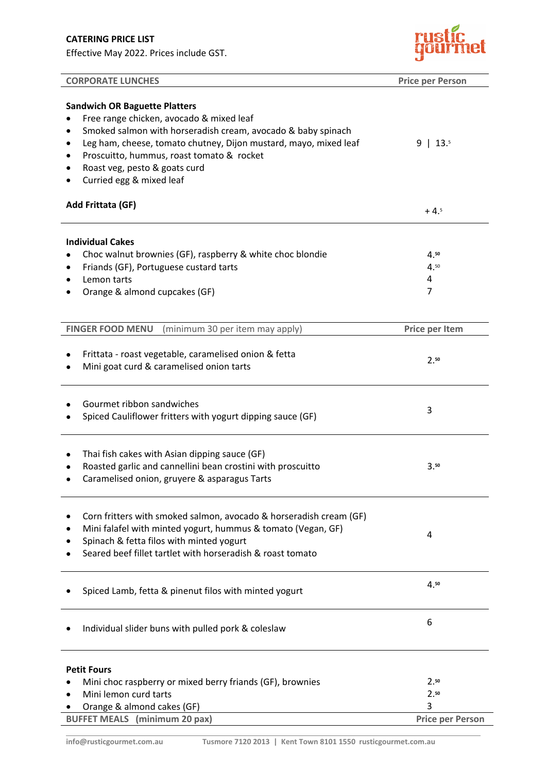Effective May 2022. Prices include GST.



| <b>CORPORATE LUNCHES</b>                                                                                                                                                                                                                                                                                                                                              | <b>Price per Person</b> |
|-----------------------------------------------------------------------------------------------------------------------------------------------------------------------------------------------------------------------------------------------------------------------------------------------------------------------------------------------------------------------|-------------------------|
| <b>Sandwich OR Baguette Platters</b><br>Free range chicken, avocado & mixed leaf<br>Smoked salmon with horseradish cream, avocado & baby spinach<br>$\bullet$<br>Leg ham, cheese, tomato chutney, Dijon mustard, mayo, mixed leaf<br>$\bullet$<br>Proscuitto, hummus, roast tomato & rocket<br>$\bullet$<br>Roast veg, pesto & goats curd<br>Curried egg & mixed leaf | $9$   13.5              |
| Add Frittata (GF)                                                                                                                                                                                                                                                                                                                                                     | $+4.5$                  |
| <b>Individual Cakes</b><br>Choc walnut brownies (GF), raspberry & white choc blondie<br>Friands (GF), Portuguese custard tarts<br>Lemon tarts<br>Orange & almond cupcakes (GF)                                                                                                                                                                                        | 4.50<br>4.50<br>4<br>7  |
| (minimum 30 per item may apply)<br><b>FINGER FOOD MENU</b>                                                                                                                                                                                                                                                                                                            | Price per Item          |
| Frittata - roast vegetable, caramelised onion & fetta<br>Mini goat curd & caramelised onion tarts                                                                                                                                                                                                                                                                     | 2.50                    |
| Gourmet ribbon sandwiches<br>Spiced Cauliflower fritters with yogurt dipping sauce (GF)                                                                                                                                                                                                                                                                               | 3                       |
| Thai fish cakes with Asian dipping sauce (GF)<br>$\bullet$<br>Roasted garlic and cannellini bean crostini with proscuitto<br>Caramelised onion, gruyere & asparagus Tarts                                                                                                                                                                                             | 3.50                    |
| Corn fritters with smoked salmon, avocado & horseradish cream (GF)<br>$\bullet$<br>Mini falafel with minted yogurt, hummus & tomato (Vegan, GF)<br>Spinach & fetta filos with minted yogurt<br>Seared beef fillet tartlet with horseradish & roast tomato                                                                                                             | 4                       |
| Spiced Lamb, fetta & pinenut filos with minted yogurt                                                                                                                                                                                                                                                                                                                 | 4.50                    |
| Individual slider buns with pulled pork & coleslaw                                                                                                                                                                                                                                                                                                                    | 6                       |
| <b>Petit Fours</b>                                                                                                                                                                                                                                                                                                                                                    |                         |
| Mini choc raspberry or mixed berry friands (GF), brownies<br>Mini lemon curd tarts<br>Orange & almond cakes (GF)                                                                                                                                                                                                                                                      | 2.50<br>2.50<br>3       |
| <b>BUFFET MEALS</b> (minimum 20 pax)                                                                                                                                                                                                                                                                                                                                  | <b>Price per Person</b> |